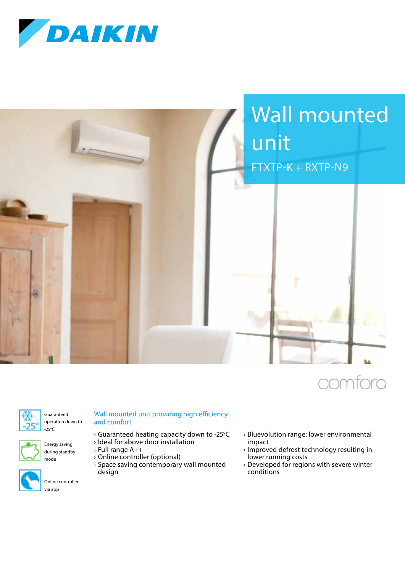



## iomfora



Guaranteed operation down to -25°C



Energy saving during standby mode



Online controller

## Wall mounted unit providing high efficiency and comfort

- › Guaranteed heating capacity down to -25°C
- › Ideal for above door installation
- › Full range A++ › Online controller (optional)
- › Space saving contemporary wall mounted design
- › Bluevolution range: lower environmental impact
- › Improved defrost technology resulting in lower running costs
- › Developed for regions with severe winter conditions